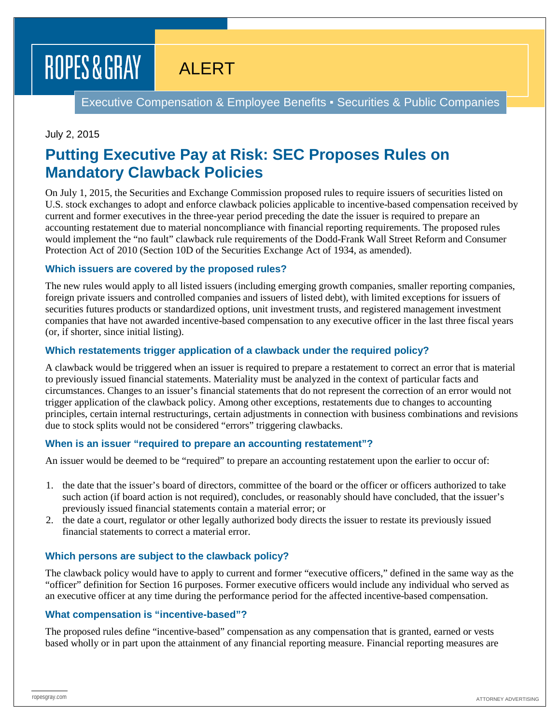# ROPES & GRAY

ALERT

Executive Compensation & Employee Benefits ▪ Securities & Public Companies

## July 2, 2015

# **Putting Executive Pay at Risk: SEC Proposes Rules on Mandatory Clawback Policies**

On July 1, 2015, the Securities and Exchange Commission proposed rules to require issuers of securities listed on U.S. stock exchanges to adopt and enforce clawback policies applicable to incentive-based compensation received by current and former executives in the three-year period preceding the date the issuer is required to prepare an accounting restatement due to material noncompliance with financial reporting requirements. The proposed rules would implement the "no fault" clawback rule requirements of the Dodd-Frank Wall Street Reform and Consumer Protection Act of 2010 (Section 10D of the Securities Exchange Act of 1934, as amended).

### **Which issuers are covered by the proposed rules?**

The new rules would apply to all listed issuers (including emerging growth companies, smaller reporting companies, foreign private issuers and controlled companies and issuers of listed debt), with limited exceptions for issuers of securities futures products or standardized options, unit investment trusts, and registered management investment companies that have not awarded incentive-based compensation to any executive officer in the last three fiscal years (or, if shorter, since initial listing).

### **Which restatements trigger application of a clawback under the required policy?**

A clawback would be triggered when an issuer is required to prepare a restatement to correct an error that is material to previously issued financial statements. Materiality must be analyzed in the context of particular facts and circumstances. Changes to an issuer's financial statements that do not represent the correction of an error would not trigger application of the clawback policy. Among other exceptions, restatements due to changes to accounting principles, certain internal restructurings, certain adjustments in connection with business combinations and revisions due to stock splits would not be considered "errors" triggering clawbacks.

### **When is an issuer "required to prepare an accounting restatement"?**

An issuer would be deemed to be "required" to prepare an accounting restatement upon the earlier to occur of:

- 1. the date that the issuer's board of directors, committee of the board or the officer or officers authorized to take such action (if board action is not required), concludes, or reasonably should have concluded, that the issuer's previously issued financial statements contain a material error; or
- 2. the date a court, regulator or other legally authorized body directs the issuer to restate its previously issued financial statements to correct a material error.

### **Which persons are subject to the clawback policy?**

The clawback policy would have to apply to current and former "executive officers," defined in the same way as the "officer" definition for Section 16 purposes. Former executive officers would include any individual who served as an executive officer at any time during the performance period for the affected incentive-based compensation.

### **What compensation is "incentive-based"?**

The proposed rules define "incentive-based" compensation as any compensation that is granted, earned or vests based wholly or in part upon the attainment of any financial reporting measure. Financial reporting measures are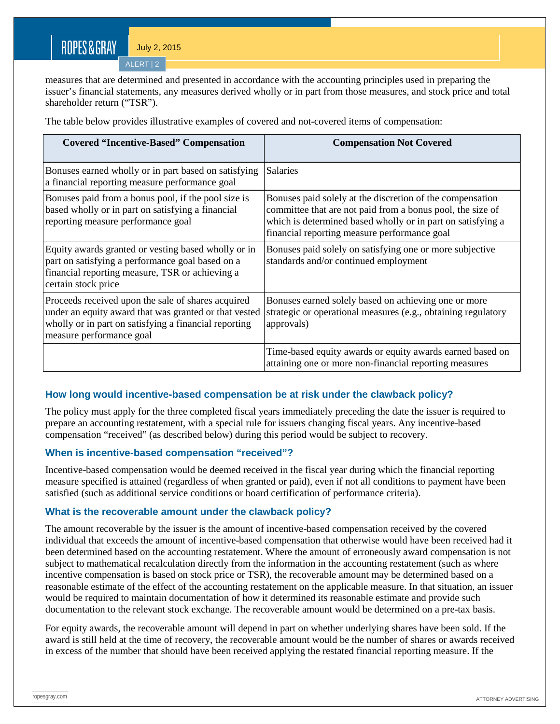# ROPES&GRAY

July 2, 2015

 $ALERT$ <sub>2</sub>

measures that are determined and presented in accordance with the accounting principles used in preparing the issuer's financial statements, any measures derived wholly or in part from those measures, and stock price and total shareholder return ("TSR").

The table below provides illustrative examples of covered and not-covered items of compensation:

| <b>Covered "Incentive-Based" Compensation</b>                                                                                                                                                    | <b>Compensation Not Covered</b>                                                                                                                                                                                                        |
|--------------------------------------------------------------------------------------------------------------------------------------------------------------------------------------------------|----------------------------------------------------------------------------------------------------------------------------------------------------------------------------------------------------------------------------------------|
| Bonuses earned wholly or in part based on satisfying<br>a financial reporting measure performance goal                                                                                           | <b>Salaries</b>                                                                                                                                                                                                                        |
| Bonuses paid from a bonus pool, if the pool size is<br>based wholly or in part on satisfying a financial<br>reporting measure performance goal                                                   | Bonuses paid solely at the discretion of the compensation<br>committee that are not paid from a bonus pool, the size of<br>which is determined based wholly or in part on satisfying a<br>financial reporting measure performance goal |
| Equity awards granted or vesting based wholly or in<br>part on satisfying a performance goal based on a<br>financial reporting measure, TSR or achieving a<br>certain stock price                | Bonuses paid solely on satisfying one or more subjective<br>standards and/or continued employment                                                                                                                                      |
| Proceeds received upon the sale of shares acquired<br>under an equity award that was granted or that vested<br>wholly or in part on satisfying a financial reporting<br>measure performance goal | Bonuses earned solely based on achieving one or more<br>strategic or operational measures (e.g., obtaining regulatory<br>approvals)                                                                                                    |
|                                                                                                                                                                                                  | Time-based equity awards or equity awards earned based on<br>attaining one or more non-financial reporting measures                                                                                                                    |

# **How long would incentive-based compensation be at risk under the clawback policy?**

The policy must apply for the three completed fiscal years immediately preceding the date the issuer is required to prepare an accounting restatement, with a special rule for issuers changing fiscal years. Any incentive-based compensation "received" (as described below) during this period would be subject to recovery.

### **When is incentive-based compensation "received"?**

Incentive-based compensation would be deemed received in the fiscal year during which the financial reporting measure specified is attained (regardless of when granted or paid), even if not all conditions to payment have been satisfied (such as additional service conditions or board certification of performance criteria).

### **What is the recoverable amount under the clawback policy?**

The amount recoverable by the issuer is the amount of incentive-based compensation received by the covered individual that exceeds the amount of incentive-based compensation that otherwise would have been received had it been determined based on the accounting restatement. Where the amount of erroneously award compensation is not subject to mathematical recalculation directly from the information in the accounting restatement (such as where incentive compensation is based on stock price or TSR), the recoverable amount may be determined based on a reasonable estimate of the effect of the accounting restatement on the applicable measure. In that situation, an issuer would be required to maintain documentation of how it determined its reasonable estimate and provide such documentation to the relevant stock exchange. The recoverable amount would be determined on a pre-tax basis.

For equity awards, the recoverable amount will depend in part on whether underlying shares have been sold. If the award is still held at the time of recovery, the recoverable amount would be the number of shares or awards received in excess of the number that should have been received applying the restated financial reporting measure. If the